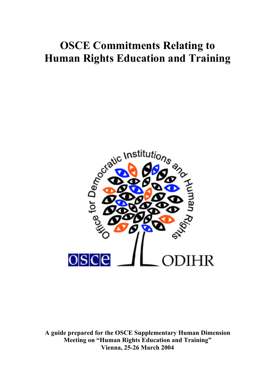# **OSCE Commitments Relating to Human Rights Education and Training**



**A guide prepared for the OSCE Supplementary Human Dimension Meeting on "Human Rights Education and Training" Vienna, 25-26 March 2004**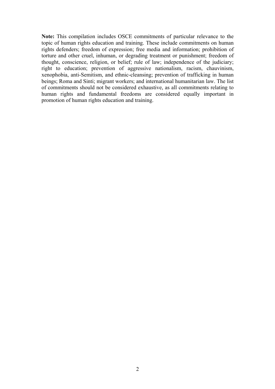**Note:** This compilation includes OSCE commitments of particular relevance to the topic of human rights education and training. These include commitments on human rights defenders; freedom of expression; free media and information; prohibition of torture and other cruel, inhuman, or degrading treatment or punishment; freedom of thought, conscience, religion, or belief; rule of law; independence of the judiciary; right to education; prevention of aggressive nationalism, racism, chauvinism, xenophobia, anti-Semitism, and ethnic-cleansing; prevention of trafficking in human beings; Roma and Sinti; migrant workers; and international humanitarian law. The list of commitments should not be considered exhaustive, as all commitments relating to human rights and fundamental freedoms are considered equally important in promotion of human rights education and training.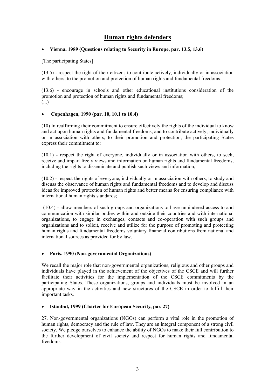# **Human rights defenders**

### • **Vienna, 1989 (Questions relating to Security in Europe, par. 13.5, 13.6)**

[The participating States]

(13.5) - respect the right of their citizens to contribute actively, individually or in association with others, to the promotion and protection of human rights and fundamental freedoms;

(13.6) - encourage in schools and other educational institutions consideration of the promotion and protection of human rights and fundamental freedoms; (...)

#### • **Copenhagen, 1990 (par. 10, 10.1 to 10.4)**

(10) In reaffirming their commitment to ensure effectively the rights of the individual to know and act upon human rights and fundamental freedoms, and to contribute actively, individually or in association with others, to their promotion and protection, the participating States express their commitment to:

(10.1) - respect the right of everyone, individually or in association with others, to seek, receive and impart freely views and information on human rights and fundamental freedoms, including the rights to disseminate and publish such views and information;

(10.2) - respect the rights of everyone, individually or in association with others, to study and discuss the observance of human rights and fundamental freedoms and to develop and discuss ideas for improved protection of human rights and better means for ensuring compliance with international human rights standards;

 (10.4) - allow members of such groups and organizations to have unhindered access to and communication with similar bodies within and outside their countries and with international organizations, to engage in exchanges, contacts and co-operation with such groups and organizations and to solicit, receive and utilize for the purpose of promoting and protecting human rights and fundamental freedoms voluntary financial contributions from national and international sources as provided for by law.

### • **Paris, 1990 (Non-governmental Organizations)**

We recall the major role that non-governmental organizations, religious and other groups and individuals have played in the achievement of the objectives of the CSCE and will further facilitate their activities for the implementation of the CSCE commitments by the participating States. These organizations, groups and individuals must be involved in an appropriate way in the activities and new structures of the CSCE in order to fulfill their important tasks.

### • **Istanbul, 1999 (Charter for European Security, par. 27)**

27. Non-governmental organizations (NGOs) can perform a vital role in the promotion of human rights, democracy and the rule of law. They are an integral component of a strong civil society. We pledge ourselves to enhance the ability of NGOs to make their full contribution to the further development of civil society and respect for human rights and fundamental freedoms.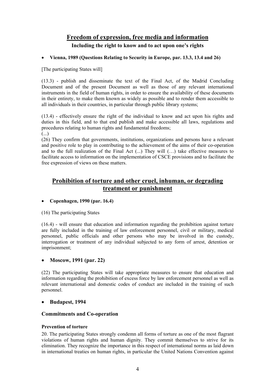# **Freedom of expression, free media and information Including the right to know and to act upon one's rights**

### • **Vienna, 1989 (Questions Relating to Security in Europe, par. 13.3, 13.4 and 26)**

[The participating States will]

(13.3) - publish and disseminate the text of the Final Act, of the Madrid Concluding Document and of the present Document as well as those of any relevant international instruments in the field of human rights, in order to ensure the availability of these documents in their entirety, to make them known as widely as possible and to render them accessible to all individuals in their countries, in particular through public library systems;

(13.4) - effectively ensure the right of the individual to know and act upon his rights and duties in this field, and to that end publish and make accessible all laws, regulations and procedures relating to human rights and fundamental freedoms;

(...)

(26) They confirm that governments, institutions, organizations and persons have a relevant and positive role to play in contributing to the achievement of the aims of their co-operation and to the full realization of the Final Act (...) They will (…) take effective measures to facilitate access to information on the implementation of CSCE provisions and to facilitate the free expression of views on these matters.

# **Prohibition of torture and other cruel, inhuman, or degrading treatment or punishment**

# • **Copenhagen, 1990 (par. 16.4)**

(16) The participating States

(16.4) - will ensure that education and information regarding the prohibition against torture are fully included in the training of law enforcement personnel, civil or military, medical personnel, public officials and other persons who may be involved in the custody, interrogation or treatment of any individual subjected to any form of arrest, detention or imprisonment;

### • **Moscow, 1991 (par. 22)**

(22) The participating States will take appropriate measures to ensure that education and information regarding the prohibition of excess force by law enforcement personnel as well as relevant international and domestic codes of conduct are included in the training of such personnel.

### • **Budapest, 1994**

### **Commitments and Co-operation**

### **Prevention of torture**

20. The participating States strongly condemn all forms of torture as one of the most flagrant violations of human rights and human dignity. They commit themselves to strive for its elimination. They recognize the importance in this respect of international norms as laid down in international treaties on human rights, in particular the United Nations Convention against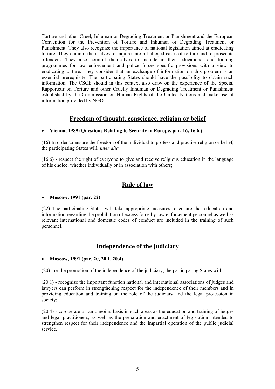Torture and other Cruel, Inhuman or Degrading Treatment or Punishment and the European Convention for the Prevention of Torture and Inhuman or Degrading Treatment or Punishment. They also recognize the importance of national legislation aimed at eradicating torture. They commit themselves to inquire into all alleged cases of torture and to prosecute offenders. They also commit themselves to include in their educational and training programmes for law enforcement and police forces specific provisions with a view to eradicating torture. They consider that an exchange of information on this problem is an essential prerequisite. The participating States should have the possibility to obtain such information. The CSCE should in this context also draw on the experience of the Special Rapporteur on Torture and other Cruelly Inhuman or Degrading Treatment or Punishment established by the Commission on Human Rights of the United Nations and make use of information provided by NGOs.

# **Freedom of thought, conscience, religion or belief**

#### • **Vienna, 1989 (Questions Relating to Security in Europe, par. 16, 16.6.)**

(16) In order to ensure the freedom of the individual to profess and practise religion or belief, the participating States will*, inter alia,*

(16.6) - respect the right of everyone to give and receive religious education in the language of his choice, whether individually or in association with others;

# **Rule of law**

#### • **Moscow, 1991 (par. 22)**

(22) The participating States will take appropriate measures to ensure that education and information regarding the prohibition of excess force by law enforcement personnel as well as relevant international and domestic codes of conduct are included in the training of such personnel.

# **Independence of the judiciary**

#### • **Moscow, 1991 (par. 20, 20.1, 20.4)**

(20) For the promotion of the independence of the judiciary, the participating States will:

(20.1) - recognize the important function national and international associations of judges and lawyers can perform in strengthening respect for the independence of their members and in providing education and training on the role of the judiciary and the legal profession in society;

(20.4) - co-operate on an ongoing basis in such areas as the education and training of judges and legal practitioners, as well as the preparation and enactment of legislation intended to strengthen respect for their independence and the impartial operation of the public judicial service.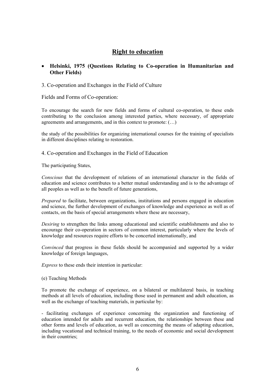# **Right to education**

# • **Helsinki, 1975 (Questions Relating to Co-operation in Humanitarian and Other Fields)**

### 3. Co-operation and Exchanges in the Field of Culture

Fields and Forms of Co-operation:

To encourage the search for new fields and forms of cultural co-operation, to these ends contributing to the conclusion among interested parties, where necessary, of appropriate agreements and arrangements, and in this context to promote: (…)

the study of the possibilities for organizing international courses for the training of specialists in different disciplines relating to restoration.

4. Co-operation and Exchanges in the Field of Education

The participating States,

*Conscious* that the development of relations of an international character in the fields of education and science contributes to a better mutual understanding and is to the advantage of all peoples as well as to the benefit of future generations,

*Prepared* to facilitate, between organizations, institutions and persons engaged in education and science, the further development of exchanges of knowledge and experience as well as of contacts, on the basis of special arrangements where these are necessary,

*Desiring* to strengthen the links among educational and scientific establishments and also to encourage their co-operation in sectors of common interest, particularly where the levels of knowledge and resources require efforts to be concerted internationally, and

*Convinced* that progress in these fields should be accompanied and supported by a wider knowledge of foreign languages,

*Express* to these ends their intention in particular:

(e) Teaching Methods

To promote the exchange of experience, on a bilateral or multilateral basis, in teaching methods at all levels of education, including those used in permanent and adult education, as well as the exchange of teaching materials, in particular by:

- facilitating exchanges of experience concerning the organization and functioning of education intended for adults and recurrent education, the relationships between these and other forms and levels of education, as well as concerning the means of adapting education, including vocational and technical training, to the needs of economic and social development in their countries;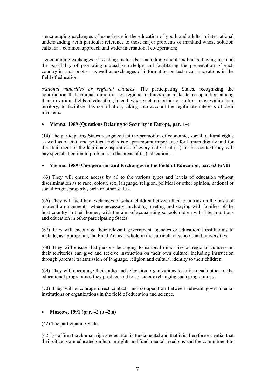- encouraging exchanges of experience in the education of youth and adults in international understanding, with particular reference to those major problems of mankind whose solution calls for a common approach and wider international co-operation;

- encouraging exchanges of teaching materials - including school textbooks, having in mind the possibility of promoting mutual knowledge and facilitating the presentation of each country in such books - as well as exchanges of information on technical innovations in the field of education.

*National minorities or regional cultures*. The participating States, recognizing the contribution that national minorities or regional cultures can make to co-operation among them in various fields of education, intend, when such minorities or cultures exist within their territory, to facilitate this contribution, taking into account the legitimate interests of their members.

#### • **Vienna, 1989 (Questions Relating to Security in Europe, par. 14)**

(14) The participating States recognize that the promotion of economic, social, cultural rights as well as of civil and political rights is of paramount importance for human dignity and for the attainment of the legitimate aspirations of every individual (...) In this context they will pay special attention to problems in the areas of (...) education ...

#### • **Vienna, 1989 (Co-operation and Exchanges in the Field of Education, par. 63 to 70)**

(63) They will ensure access by all to the various types and levels of education without discrimination as to race, colour, sex, language, religion, political or other opinion, national or social origin, property, birth or other status.

(66) They will facilitate exchanges of schoolchildren between their countries on the basis of bilateral arrangements, where necessary, including meeting and staying with families of the host country in their homes, with the aim of acquainting schoolchildren with life, traditions and education in other participating States.

(67) They will encourage their relevant government agencies or educational institutions to include, as appropriate, the Final Act as a whole in the curricula of schools and universities.

(68) They will ensure that persons belonging to national minorities or regional cultures on their territories can give and receive instruction on their own culture, including instruction through parental transmission of language, religion and cultural identity to their children.

(69) They will encourage their radio and television organizations to inform each other of the educational programmes they produce and to consider exchanging such programmes.

(70) They will encourage direct contacts and co-operation between relevant governmental institutions or organizations in the field of education and science.

#### • **Moscow, 1991 (par. 42 to 42.6)**

(42) The participating States

(42.1) - affirm that human rights education is fundamental and that it is therefore essential that their citizens are educated on human rights and fundamental freedoms and the commitment to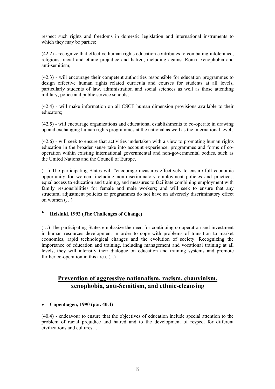respect such rights and freedoms in domestic legislation and international instruments to which they may be parties;

(42.2) - recognize that effective human rights education contributes to combating intolerance, religious, racial and ethnic prejudice and hatred, including against Roma, xenophobia and anti-semitism;

(42.3) - will encourage their competent authorities responsible for education programmes to design effective human rights related curricula and courses for students at all levels, particularly students of law, administration and social sciences as well as those attending military, police and public service schools;

(42.4) - will make information on all CSCE human dimension provisions available to their educators;

(42.5) - will encourage organizations and educational establishments to co-operate in drawing up and exchanging human rights programmes at the national as well as the international level;

(42.6) - will seek to ensure that activities undertaken with a view to promoting human rights education in the broader sense take into account experience, programmes and forms of cooperation within existing international governmental and non-governmental bodies, such as the United Nations and the Council of Europe.

(…) The participating States will "encourage measures effectively to ensure full economic opportunity for women, including non-discriminatory employment policies and practices, equal access to education and training, and measures to facilitate combining employment with family responsibilities for female and male workers; and will seek to ensure that any structural adjustment policies or programmes do not have an adversely discriminatory effect on women (…)

### • **Helsinki, 1992 (The Challenges of Change)**

(…) The participating States emphasize the need for continuing co-operation and investment in human resources development in order to cope with problems of transition to market economies, rapid technological changes and the evolution of society. Recognizing the importance of education and training, including management and vocational training at all levels, they will intensify their dialogue on education and training systems and promote further co-operation in this area. (...)

# **Prevention of aggressive nationalism, racism, chauvinism, xenophobia, anti-Semitism, and ethnic-cleansing**

#### • **Copenhagen, 1990 (par. 40.4)**

(40.4) - endeavour to ensure that the objectives of education include special attention to the problem of racial prejudice and hatred and to the development of respect for different civilizations and cultures…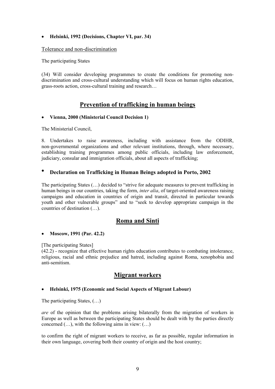### • **Helsinki, 1992 (Decisions, Chapter VI, par. 34)**

#### Tolerance and non-discrimination

The participating States

(34) Will consider developing programmes to create the conditions for promoting nondiscrimination and cross-cultural understanding which will focus on human rights education, grass-roots action, cross-cultural training and research…

# **Prevention of trafficking in human beings**

#### • **Vienna, 2000 (Ministerial Council Decision 1)**

The Ministerial Council,

8. Undertakes to raise awareness, including with assistance from the ODIHR, non-governmental organizations and other relevant institutions, through, where necessary, establishing training programmes among public officials, including law enforcement, judiciary, consular and immigration officials, about all aspects of trafficking;

### • **Declaration on Trafficking in Human Beings adopted in Porto, 2002**

The participating States (…) decided to "strive for adequate measures to prevent trafficking in human beings in our countries, taking the form, *inter alia*, of target-oriented awareness raising campaigns and education in countries of origin and transit, directed in particular towards youth and other vulnerable groups" and to "seek to develop appropriate campaign in the countries of destination (…).

# **Roma and Sinti**

#### • **Moscow, 1991 (Par. 42.2)**

[The participating States]

(42.2) - recognize that effective human rights education contributes to combating intolerance, religious, racial and ethnic prejudice and hatred, including against Roma, xenophobia and anti-semitism.

# **Migrant workers**

#### • **Helsinki, 1975 (Economic and Social Aspects of Migrant Labour)**

The participating States, (…)

*are* of the opinion that the problems arising bilaterally from the migration of workers in Europe as well as between the participating States should be dealt with by the parties directly concerned  $(...)$ , with the following aims in view:  $(...)$ 

to confirm the right of migrant workers to receive, as far as possible, regular information in their own language, covering both their country of origin and the host country;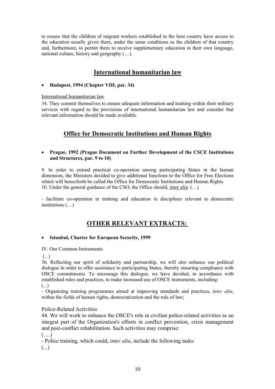to ensure that the children of migrant workers established in the host country have access to the education usually given there, under the same conditions as the children of that country and, furthermore, to permit them to receive supplementary education in their own language, national culture, history and geography (…).

# **International humanitarian law**

### • **Budapest, 1994 (Chapter VIII, par. 34)**

International humanitarian law

34. They commit themselves to ensure adequate information and training within their military services with regard to the provisions of international humanitarian law and consider that relevant information should be made available.

# **Office for Democratic Institutions and Human Rights**

### • **Prague, 1992 (Prague Document on Further Development of the CSCE Institutions and Structures, par. 9 to 10)**

9. In order to extend practical co-operation among participating States in the human dimension, the Ministers decided to give additional functions to the Office for Free Elections which will henceforth be called the Office for Democratic Institutions and Human Rights. 10. Under the general guidance of the CSO, the Office should, inter alia: (…)

- facilitate co-operation in training and education in disciplines relevant to democratic institutions (…)

# **OTHER RELEVANT EXTRACTS:**

### • **Istanbul, Charter for European Security, 1999**

### IV. Our Common Instruments

(...)

36. Reflecting our spirit of solidarity and partnership, we will also enhance our political dialogue in order to offer assistance to participating States, thereby ensuring compliance with OSCE commitments. To encourage this dialogue, we have decided, in accordance with established rules and practices, to make increased use of OSCE instruments, including: (...)

- Organizing training programmes aimed at improving standards and practices, *inter alia*, within the fields of human rights, democratization and the rule of law;

### Police-Related Activities

44. We will work to enhance the OSCE's role in civilian police-related activities as an integral part of the Organization's efforts in conflict prevention, crisis management and post-conflict rehabilitation. Such activities may comprise:

(….)

- Police training, which could, *inter alia*, include the following tasks:

(...)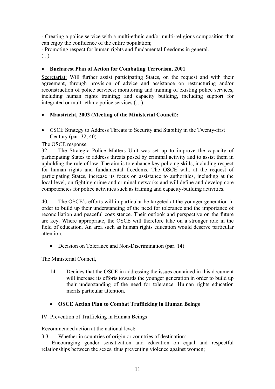- Creating a police service with a multi-ethnic and/or multi-religious composition that can enjoy the confidence of the entire population;

- Promoting respect for human rights and fundamental freedoms in general. (...)

# • **Bucharest Plan of Action for Combating Terrorism, 2001**

Secretariat: Will further assist participating States, on the request and with their agreement, through provision of advice and assistance on restructuring and/or reconstruction of police services; monitoring and training of existing police services, including human rights training; and capacity building, including support for integrated or multi-ethnic police services (…).

# • **Maastricht, 2003 (Meeting of the Ministerial Council):**

• OSCE Strategy to Address Threats to Security and Stability in the Twenty-first Century (par. 32, 40)

# The OSCE response

32. The Strategic Police Matters Unit was set up to improve the capacity of participating States to address threats posed by criminal activity and to assist them in upholding the rule of law. The aim is to enhance key policing skills, including respect for human rights and fundamental freedoms. The OSCE will, at the request of participating States, increase its focus on assistance to authorities, including at the local level, on fighting crime and criminal networks and will define and develop core competencies for police activities such as training and capacity-building activities.

40. The OSCE's efforts will in particular be targeted at the younger generation in order to build up their understanding of the need for tolerance and the importance of reconciliation and peaceful coexistence. Their outlook and perspective on the future are key. Where appropriate, the OSCE will therefore take on a stronger role in the field of education. An area such as human rights education would deserve particular attention.

• Decision on Tolerance and Non-Discrimination (par. 14)

The Ministerial Council,

14. Decides that the OSCE in addressing the issues contained in this document will increase its efforts towards the younger generation in order to build up their understanding of the need for tolerance. Human rights education merits particular attention.

# • **OSCE Action Plan to Combat Trafficking in Human Beings**

# IV. Prevention of Trafficking in Human Beings

Recommended action at the national level:

3.3 Whether in countries of origin or countries of destination:

- Encouraging gender sensitization and education on equal and respectful relationships between the sexes, thus preventing violence against women;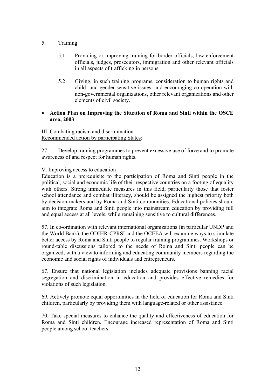# 5. Training

- 5.1 Providing or improving training for border officials, law enforcement officials, judges, prosecutors, immigration and other relevant officials in all aspects of trafficking in persons.
- 5.2 Giving, in such training programs, consideration to human rights and child- and gender-sensitive issues, and encouraging co-operation with non-governmental organizations, other relevant organizations and other elements of civil society.

# • **Action Plan on Improving the Situation of Roma and Sinti within the OSCE area, 2003**

III. Combating racism and discrimination Recommended action by participating States:

27. Develop training programmes to prevent excessive use of force and to promote awareness of and respect for human rights.

# V. Improving access to education

Education is a prerequisite to the participation of Roma and Sinti people in the political, social and economic life of their respective countries on a footing of equality with others. Strong immediate measures in this field, particularly those that foster school attendance and combat illiteracy, should be assigned the highest priority both by decision-makers and by Roma and Sinti communities. Educational policies should aim to integrate Roma and Sinti people into mainstream education by providing full and equal access at all levels, while remaining sensitive to cultural differences.

57. In co-ordination with relevant international organizations (in particular UNDP and the World Bank), the ODIHR-CPRSI and the OCEEA will examine ways to stimulate better access by Roma and Sinti people to regular training programmes. Workshops or round-table discussions tailored to the needs of Roma and Sinti people can be organized, with a view to informing and educating community members regarding the economic and social rights of individuals and entrepreneurs.

67. Ensure that national legislation includes adequate provisions banning racial segregation and discrimination in education and provides effective remedies for violations of such legislation.

69. Actively promote equal opportunities in the field of education for Roma and Sinti children, particularly by providing them with language-related or other assistance.

70. Take special measures to enhance the quality and effectiveness of education for Roma and Sinti children. Encourage increased representation of Roma and Sinti people among school teachers.